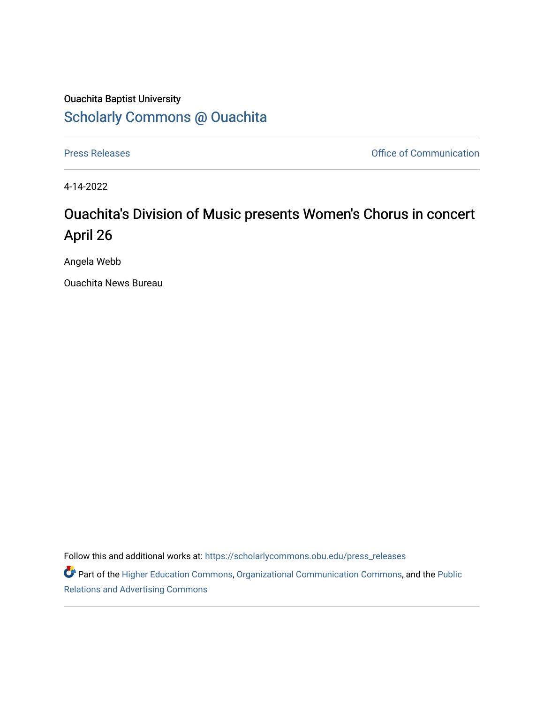## Ouachita Baptist University [Scholarly Commons @ Ouachita](https://scholarlycommons.obu.edu/)

[Press Releases](https://scholarlycommons.obu.edu/press_releases) **Press Releases Communication** 

4-14-2022

## Ouachita's Division of Music presents Women's Chorus in concert April 26

Angela Webb

Ouachita News Bureau

Follow this and additional works at: [https://scholarlycommons.obu.edu/press\\_releases](https://scholarlycommons.obu.edu/press_releases?utm_source=scholarlycommons.obu.edu%2Fpress_releases%2F1083&utm_medium=PDF&utm_campaign=PDFCoverPages)

Part of the [Higher Education Commons,](http://network.bepress.com/hgg/discipline/1245?utm_source=scholarlycommons.obu.edu%2Fpress_releases%2F1083&utm_medium=PDF&utm_campaign=PDFCoverPages) [Organizational Communication Commons,](http://network.bepress.com/hgg/discipline/335?utm_source=scholarlycommons.obu.edu%2Fpress_releases%2F1083&utm_medium=PDF&utm_campaign=PDFCoverPages) and the [Public](http://network.bepress.com/hgg/discipline/336?utm_source=scholarlycommons.obu.edu%2Fpress_releases%2F1083&utm_medium=PDF&utm_campaign=PDFCoverPages) [Relations and Advertising Commons](http://network.bepress.com/hgg/discipline/336?utm_source=scholarlycommons.obu.edu%2Fpress_releases%2F1083&utm_medium=PDF&utm_campaign=PDFCoverPages)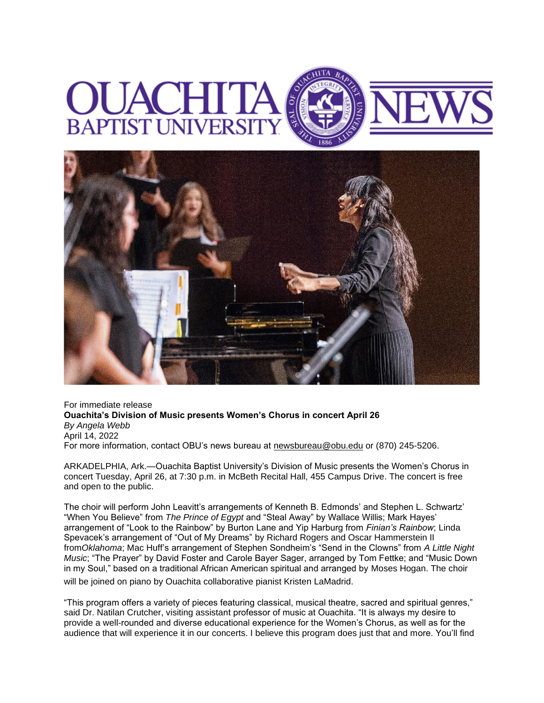



For immediate release **Ouachita's Division of Music presents Women's Chorus in concert April 26** *By Angela Webb* April 14, 2022 For more information, contact OBU's news bureau at [newsbureau@obu.edu](mailto:newsbureau@obu.edu) or (870) 245-5206.

ARKADELPHIA, Ark.—Ouachita Baptist University's Division of Music presents the Women's Chorus in concert Tuesday, April 26, at 7:30 p.m. in McBeth Recital Hall, 455 Campus Drive. The concert is free and open to the public.

The choir will perform John Leavitt's arrangements of Kenneth B. Edmonds' and Stephen L. Schwartz' "When You Believe" from *The Prince of Egypt* and "Steal Away" by Wallace Willis; Mark Hayes' arrangement of "Look to the Rainbow" by Burton Lane and Yip Harburg from *Finian's Rainbow*; Linda Spevacek's arrangement of "Out of My Dreams" by Richard Rogers and Oscar Hammerstein II from*Oklahoma*; Mac Huff's arrangement of Stephen Sondheim's "Send in the Clowns" from *A Little Night Music*; "The Prayer" by David Foster and Carole Bayer Sager, arranged by Tom Fettke; and "Music Down in my Soul," based on a traditional African American spiritual and arranged by Moses Hogan. The choir will be joined on piano by Ouachita collaborative pianist Kristen LaMadrid.

"This program offers a variety of pieces featuring classical, musical theatre, sacred and spiritual genres," said Dr. Natilan Crutcher, visiting assistant professor of music at Ouachita. "It is always my desire to provide a well-rounded and diverse educational experience for the Women's Chorus, as well as for the audience that will experience it in our concerts. I believe this program does just that and more. You'll find